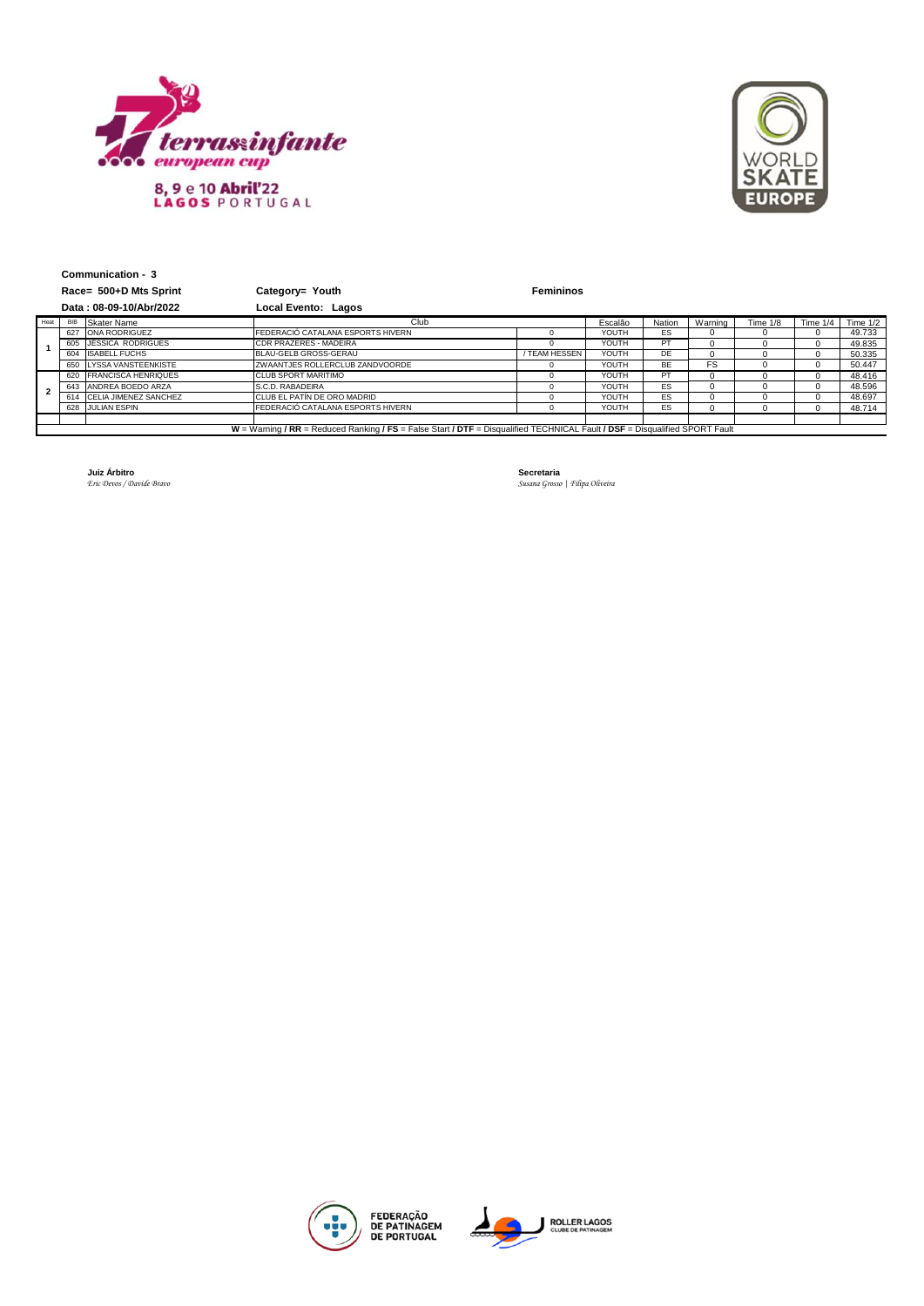



|                                                                                                                             | Communication - 3      |                           |                                   |                  |         |           |          |          |          |            |
|-----------------------------------------------------------------------------------------------------------------------------|------------------------|---------------------------|-----------------------------------|------------------|---------|-----------|----------|----------|----------|------------|
|                                                                                                                             | Race= 500+D Mts Sprint |                           | Category= Youth                   | <b>Femininos</b> |         |           |          |          |          |            |
| Data: 08-09-10/Abr/2022                                                                                                     |                        |                           | Local Evento: Lagos               |                  |         |           |          |          |          |            |
| Heat                                                                                                                        |                        | BIB Skater Name           | Club                              |                  | Escalão | Nation    | Warning  | Time 1/8 | Time 1/4 | Time $1/2$ |
|                                                                                                                             |                        | 627 ONA RODRIGUEZ         | FEDERACIÓ CATALANA ESPORTS HIVERN |                  | YOUTH   | ES        | $\Omega$ |          | 0        | 49.733     |
|                                                                                                                             |                        | 605 JÉSSICA RODRIGUES     | <b>CDR PRAZERES - MADEIRA</b>     | $^{\circ}$       | YOUTH   | PT        | $\Omega$ |          | $\Omega$ | 49.835     |
|                                                                                                                             |                        | 604 ISABELL FUCHS         | BLAU-GELB GROSS-GERAU             | / TEAM HESSEN    | YOUTH   | DE        | 0        |          | 0        | 50.335     |
|                                                                                                                             |                        | 650 LYSSA VANSTEENKISTE   | ZWAANTJES ROLLERCLUB ZANDVOORDE   | <sup>n</sup>     | YOUTH   | <b>BE</b> | FS       |          | 0        | 50.447     |
| $\mathbf{z}$                                                                                                                |                        | 620 FRANCISCA HENRIQUES   | <b>CLUB SPORT MARITIMO</b>        |                  | YOUTH   | PT        | $\Omega$ |          | 0        | 48.416     |
|                                                                                                                             |                        | 643 ANDREA BOEDO ARZA     | S.C.D. RABADEIRA                  | $^{\circ}$       | YOUTH   | ES        | $\Omega$ |          | 0        | 48.596     |
|                                                                                                                             |                        | 614 CELIA JIMENEZ SANCHEZ | CLUB EL PATÍN DE ORO MADRID       | 0                | YOUTH   | ES        | $\Omega$ |          | $\Omega$ | 48.697     |
|                                                                                                                             |                        | 628 JULIAN ESPIN          | FEDERACIÓ CATALANA ESPORTS HIVERN | $\Omega$         | YOUTH   | ES        | $\Omega$ |          | 0        | 48.714     |
|                                                                                                                             |                        |                           |                                   |                  |         |           |          |          |          |            |
| W = Warning / RR = Reduced Ranking / FS = False Start / DTF = Disqualified TECHNICAL Fault / DSF = Disqualified SPORT Fault |                        |                           |                                   |                  |         |           |          |          |          |            |

**Juiz Árbitro**<br>*Eric Devos / Davide Bravo* 

*Eric Devos / Davide Bravo Susana Grosso | Filipa Oliveira*